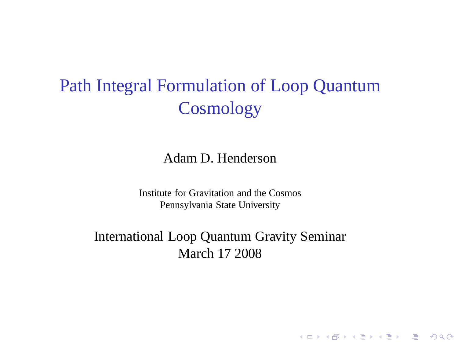# Path Integral Formulation of Loop Quantum **Cosmology**

Adam D. Henderson

Institute for Gravitation and the Cosmos Pennsylvania State University

International Loop Quantum Gravity Seminar March 17 2008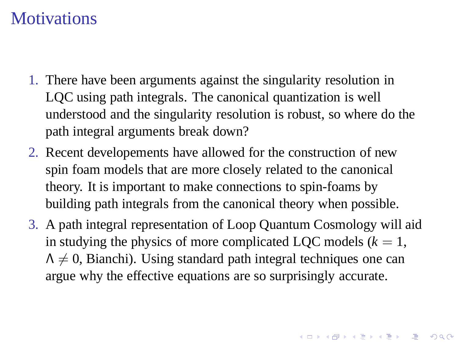### **Motivations**

- 1. There have been arguments against the singularity resolution in LQC using path integrals. The canonical quantization is well understood and the singularity resolution is robust, so where do the path integral arguments break down?
- 2. Recent developements have allowed for the construction of new spin foam models that are more closely related to the canonical theory. It is important to make connections to spin-foams by building path integrals from the canonical theory when possible.
- 3. A path integral representation of Loop Quantum Cosmology will aid in studying the physics of more complicated LQC models  $(k = 1,$  $\Lambda \neq 0$ , Bianchi). Using standard path integral techniques one can argue why the effective equations are so surprisingly accurate.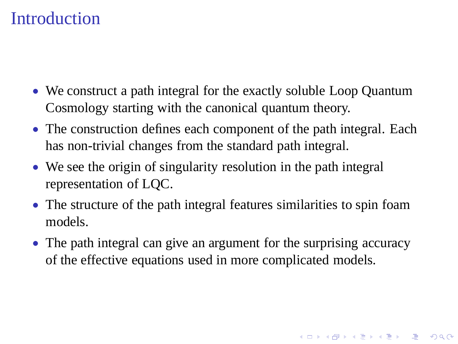### **Introduction**

- We construct a path integral for the exactly soluble Loop Quantum Cosmology starting with the canonical quantum theory.
- The construction defines each component of the path integral. Each has non-trivial changes from the standard path integral.
- We see the origin of singularity resolution in the path integral representation of LQC.
- The structure of the path integral features similarities to spin foam models.
- The path integral can give an argument for the surprising accuracy of the effective equations used in more complicated models.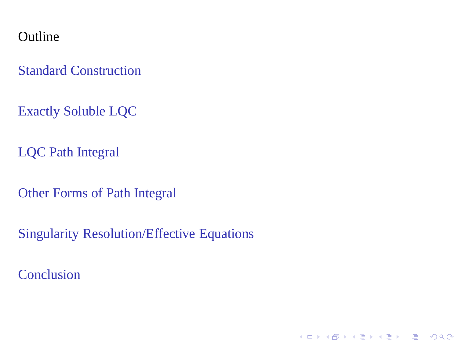**Outline** 

[Standard Construction](#page-4-0)

[Exactly Soluble LQC](#page-11-0)

[LQC Path Integral](#page-15-0)

[Other Forms of Path Integral](#page-22-0)

[Singularity Resolution/Effective Equations](#page-24-0)

<span id="page-3-0"></span>[Conclusion](#page-28-0)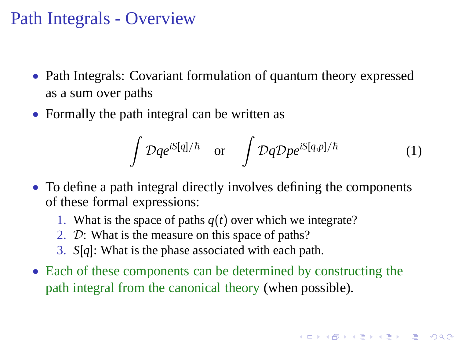### Path Integrals - Overview

- Path Integrals: Covariant formulation of quantum theory expressed as a sum over paths
- Formally the path integral can be written as

$$
\int \mathcal{D}q e^{iS[q]/\hbar} \quad \text{or} \quad \int \mathcal{D}q \mathcal{D}p e^{iS[q,p]/\hbar} \tag{1}
$$

- To define a path integral directly involves defining the components of these formal expressions:
	- 1. What is the space of paths *q*(*t*) over which we integrate?
	- 2. D: What is the measure on this space of paths?
	- 3. *S*[*q*]: What is the phase associated with each path.
- <span id="page-4-0"></span>• Each of these components can be determined by constructing the path integral from the canonical theory (when possible).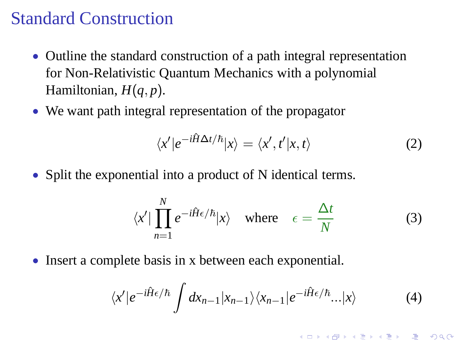#### Standard Construction

- Outline the standard construction of a path integral representation for Non-Relativistic Quantum Mechanics with a polynomial Hamiltonian,  $H(q, p)$ .
- We want path integral representation of the propagator

$$
\langle x'|e^{-i\hat{H}\Delta t/\hbar}|x\rangle = \langle x',t'|x,t\rangle \tag{2}
$$

• Split the exponential into a product of N identical terms.

$$
\langle x' | \prod_{n=1}^{N} e^{-i\hat{H}\epsilon/\hbar} |x\rangle \quad \text{where} \quad \epsilon = \frac{\Delta t}{N} \tag{3}
$$

• Insert a complete basis in x between each exponential.

$$
\langle x' | e^{-i\hat{H}\epsilon/\hbar} \int dx_{n-1} |x_{n-1}\rangle \langle x_{n-1} | e^{-i\hat{H}\epsilon/\hbar}... |x\rangle \tag{4}
$$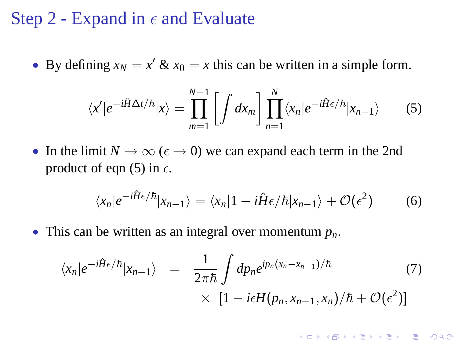#### Step 2 - Expand in  $\epsilon$  and Evaluate

• By defining  $x_N = x' \& x_0 = x$  this can be written in a simple form.

$$
\langle x' | e^{-i\hat{H}\Delta t/\hbar} | x \rangle = \prod_{m=1}^{N-1} \left[ \int dx_m \right] \prod_{n=1}^{N} \langle x_n | e^{-i\hat{H}\epsilon/\hbar} | x_{n-1} \rangle \tag{5}
$$

• In the limit  $N \to \infty$  ( $\epsilon \to 0$ ) we can expand each term in the 2nd product of eqn (5) in  $\epsilon$ .

$$
\langle x_n|e^{-i\hat{H}\epsilon/\hbar}|x_{n-1}\rangle = \langle x_n|1 - i\hat{H}\epsilon/\hbar|x_{n-1}\rangle + \mathcal{O}(\epsilon^2)
$$
 (6)

• This can be written as an integral over momentum *pn*.

$$
\langle x_n | e^{-i\hat{H}\epsilon/\hbar} | x_{n-1} \rangle = \frac{1}{2\pi\hbar} \int dp_n e^{ip_n(x_n - x_{n-1})/\hbar} \tag{7}
$$

$$
\times [1 - i\epsilon H(p_n, x_{n-1}, x_n)/\hbar + \mathcal{O}(\epsilon^2)]
$$

**K ロ K K (日 K K B K K E K H X K K K K G K C K**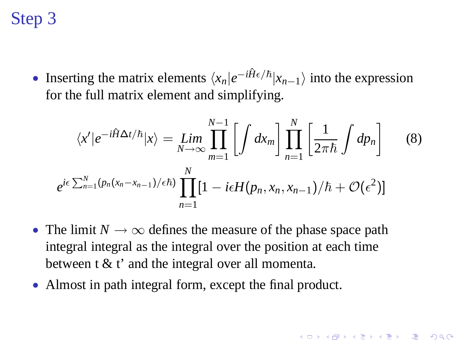# Step 3

• Inserting the matrix elements  $\langle x_n|e^{-i\hat{H}\epsilon/\hbar}|x_{n-1}\rangle$  into the expression for the full matrix element and simplifying.

$$
\langle x' | e^{-i\hat{H}\Delta t/\hbar} | x \rangle = \lim_{N \to \infty} \prod_{m=1}^{N-1} \left[ \int dx_m \right] \prod_{n=1}^N \left[ \frac{1}{2\pi\hbar} \int dp_n \right]
$$
(8)  

$$
e^{i\epsilon \sum_{n=1}^N (p_n(x_n - x_{n-1})/\epsilon\hbar)} \prod_{n=1}^N [1 - i\epsilon H(p_n, x_n, x_{n-1})/\hbar + \mathcal{O}(\epsilon^2)]
$$

- The limit  $N \to \infty$  defines the measure of the phase space path integral integral as the integral over the position at each time between t & t' and the integral over all momenta.
- Almost in path integral form, except the final product.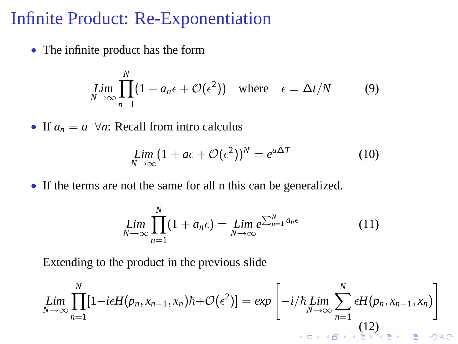#### Infinite Product: Re-Exponentiation

• The infinite product has the form

$$
\lim_{N \to \infty} \prod_{n=1}^{N} (1 + a_n \epsilon + \mathcal{O}(\epsilon^2)) \quad \text{where} \quad \epsilon = \Delta t / N \tag{9}
$$

• If  $a_n = a \ \forall n$ : Recall from intro calculus

$$
\lim_{N \to \infty} (1 + a\epsilon + \mathcal{O}(\epsilon^2))^N = e^{a\Delta T} \tag{10}
$$

• If the terms are not the same for all n this can be generalized.

$$
\lim_{N \to \infty} \prod_{n=1}^{N} (1 + a_n \epsilon) = \lim_{N \to \infty} e^{\sum_{n=1}^{N} a_n \epsilon} \tag{11}
$$

Extending to the product in the previous slide

$$
\lim_{N \to \infty} \prod_{n=1}^{N} [1 - i\epsilon H(p_n, x_{n-1}, x_n) \hbar + \mathcal{O}(\epsilon^2)] = \exp \left[ -i/\hbar \lim_{N \to \infty} \sum_{n=1}^{N} \epsilon H(p_n, x_{n-1}, x_n) \right]
$$
\n(12)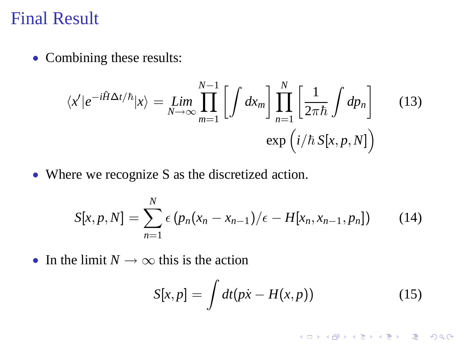#### Final Result

• Combining these results:

$$
\langle x'|e^{-i\hat{H}\Delta t/\hbar}|x\rangle = \lim_{N \to \infty} \prod_{m=1}^{N-1} \left[ \int dx_m \right] \prod_{n=1}^N \left[ \frac{1}{2\pi\hbar} \int dp_n \right]
$$
(13)  
exp $(i/\hbar S[x, p, N])$ 

• Where we recognize S as the discretized action.

$$
S[x, p, N] = \sum_{n=1}^{N} \epsilon (p_n(x_n - x_{n-1})/\epsilon - H[x_n, x_{n-1}, p_n])
$$
 (14)

• In the limit  $N \to \infty$  this is the action

$$
S[x,p] = \int dt (p\dot{x} - H(x,p))
$$
 (15)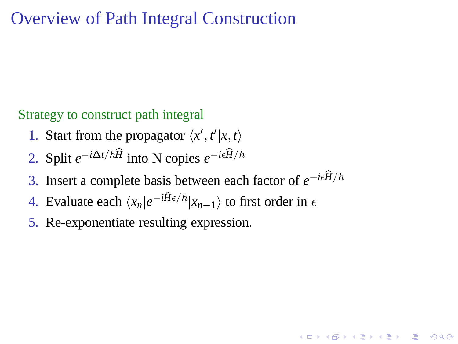### Overview of Path Integral Construction

#### Strategy to construct path integral

- 1. Start from the propagator  $\langle x', t'|x, t \rangle$
- 2. Split  $e^{-i\Delta t/\hbar \hat{H}}$  into N copies  $e^{-i\epsilon \hat{H}/\hbar}$
- 3. Insert a complete basis between each factor of  $e^{-i\epsilon \hat{H}/\hbar}$

- 4. Evaluate each  $\langle x_n|e^{-i\hat{H}\epsilon/\hbar}|x_{n-1}\rangle$  to first order in  $\epsilon$
- <span id="page-10-0"></span>5. Re-exponentiate resulting expression.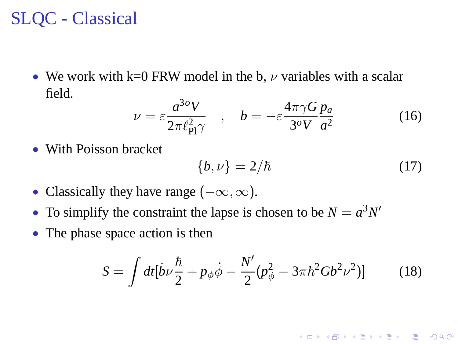# SLQC - Classical

• We work with k=0 FRW model in the b,  $\nu$  variables with a scalar field.

$$
\nu = \varepsilon \frac{a^{3o} V}{2\pi \ell_{\rm Pl}^2 \gamma} \quad , \quad b = -\varepsilon \frac{4\pi \gamma G}{3^o V} \frac{p_a}{a^2} \tag{16}
$$

• With Poisson bracket

$$
\{b,\nu\} = 2/\hbar \tag{17}
$$

K ロ ▶ K @ ▶ K 할 ▶ K 할 ▶ ( 할 ) 게임(2)

- Classically they have range  $(-\infty, \infty)$ .
- To simplify the constraint the lapse is chosen to be  $N = a^3 N'$
- <span id="page-11-0"></span>• The phase space action is then

$$
S = \int dt [\dot{b}\nu \frac{\hbar}{2} + p_{\phi}\dot{\phi} - \frac{N'}{2}(p_{\phi}^2 - 3\pi\hbar^2 G b^2 \nu^2)] \tag{18}
$$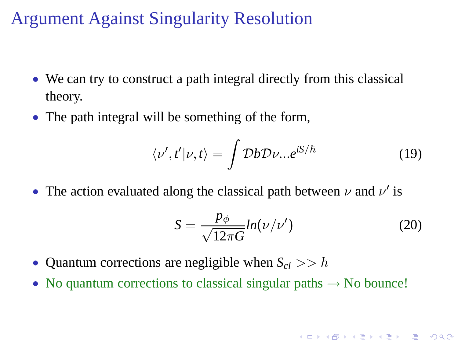### Argument Against Singularity Resolution

- We can try to construct a path integral directly from this classical theory.
- The path integral will be something of the form,

$$
\langle \nu', t' | \nu, t \rangle = \int \mathcal{D}b \mathcal{D} \nu... e^{iS/\hbar}
$$
 (19)

• The action evaluated along the classical path between  $\nu$  and  $\nu'$  is

$$
S = \frac{p_{\phi}}{\sqrt{12\pi G}} ln(\nu/\nu')
$$
 (20)

K ロ ▶ K @ ▶ K 할 > K 할 > 1 할 | X 9 Q Q\*

- Quantum corrections are negligible when  $S_{cl} >> \hbar$
- No quantum corrections to classical singular paths  $\rightarrow$  No bounce!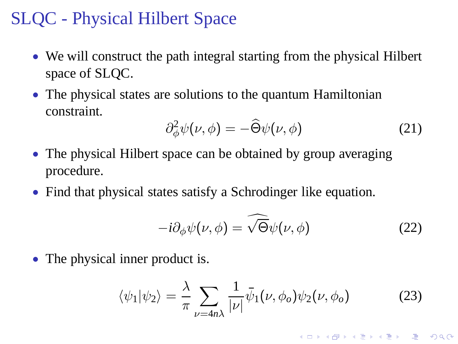## SLQC - Physical Hilbert Space

- We will construct the path integral starting from the physical Hilbert space of SLQC.
- The physical states are solutions to the quantum Hamiltonian constraint.

$$
\partial_{\phi}^2 \psi(\nu, \phi) = -\widehat{\Theta}\psi(\nu, \phi) \tag{21}
$$

- The physical Hilbert space can be obtained by group averaging procedure.
- Find that physical states satisfy a Schrodinger like equation.

$$
-i\partial_{\phi}\psi(\nu,\phi) = \widehat{\sqrt{\Theta}}\psi(\nu,\phi)
$$
 (22)

• The physical inner product is.

$$
\langle \psi_1 | \psi_2 \rangle = \frac{\lambda}{\pi} \sum_{\nu = 4n\lambda} \frac{1}{|\nu|} \bar{\psi}_1(\nu, \phi_o) \psi_2(\nu, \phi_o) \tag{23}
$$

K ロ ▶ K @ ▶ K 할 ▶ K 할 ▶ ( 할 ) 게임(2)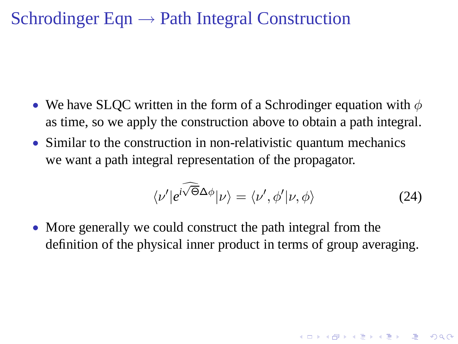### Schrodinger Eqn  $\rightarrow$  Path Integral Construction

- We have SLOC written in the form of a Schrodinger equation with  $\phi$ as time, so we apply the construction above to obtain a path integral.
- Similar to the construction in non-relativistic quantum mechanics we want a path integral representation of the propagator.

$$
\langle \nu' | e^{i\widehat{\sqrt{\Theta}}\Delta\phi} | \nu \rangle = \langle \nu', \phi' | \nu, \phi \rangle \tag{24}
$$

**K ロ K K 레 K K E K K E X H X K K K K H Z W X C K** 

• More generally we could construct the path integral from the definition of the physical inner product in terms of group averaging.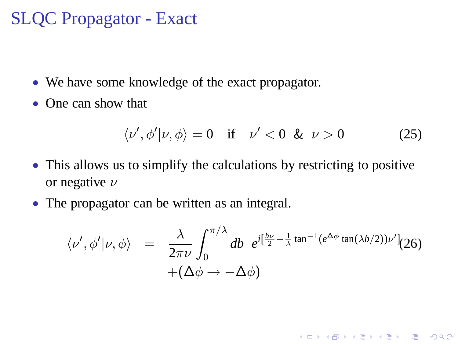### SLQC Propagator - Exact

- We have some knowledge of the exact propagator.
- One can show that

$$
\langle \nu', \phi' | \nu, \phi \rangle = 0 \quad \text{if} \quad \nu' < 0 \ \& \ \nu > 0 \tag{25}
$$

K ロ X (日) X 전 X X 전 X 전 전 전 시 이 Q O

- This allows us to simplify the calculations by restricting to positive or negative  $\nu$
- <span id="page-15-0"></span>• The propagator can be written as an integral.

$$
\langle \nu', \phi' | \nu, \phi \rangle = \frac{\lambda}{2\pi\nu} \int_0^{\pi/\lambda} db \ e^{i[\frac{b\nu}{2} - \frac{1}{\lambda} \tan^{-1}(e^{\Delta\phi} \tan(\lambda b/2))\nu']} (26) + (\Delta\phi \rightarrow -\Delta\phi)
$$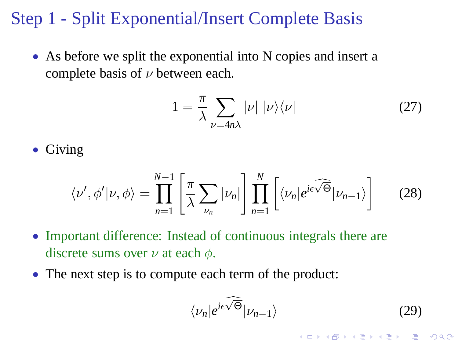### Step 1 - Split Exponential/Insert Complete Basis

• As before we split the exponential into N copies and insert a complete basis of  $\nu$  between each.

$$
1 = \frac{\pi}{\lambda} \sum_{\nu = 4n\lambda} |\nu| |\nu\rangle\langle\nu| \tag{27}
$$

• Giving

$$
\langle \nu', \phi' | \nu, \phi \rangle = \prod_{n=1}^{N-1} \left[ \frac{\pi}{\lambda} \sum_{\nu_n} |\nu_n| \right] \prod_{n=1}^N \left[ \langle \nu_n | e^{i\epsilon \widehat{\sqrt{\Theta}}} | \nu_{n-1} \rangle \right] \tag{28}
$$

- Important difference: Instead of continuous integrals there are discrete sums over  $\nu$  at each  $\phi$ .
- The next step is to compute each term of the product:

$$
\langle \nu_n | e^{i\epsilon \widehat{\sqrt{\Theta}}} | \nu_{n-1} \rangle \tag{29}
$$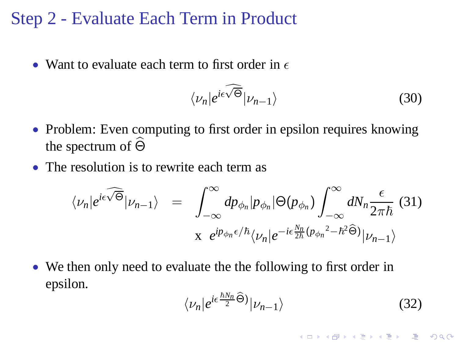#### Step 2 - Evaluate Each Term in Product

• Want to evaluate each term to first order in  $\epsilon$ 

$$
\langle \nu_n | e^{i\epsilon \widehat{\sqrt{\Theta}}} | \nu_{n-1} \rangle \tag{30}
$$

- Problem: Even computing to first order in epsilon requires knowing the spectrum of  $\widehat{\Theta}$
- The resolution is to rewrite each term as

$$
\langle \nu_n | e^{i\epsilon \widehat{\sqrt{\Theta}}} | \nu_{n-1} \rangle = \int_{-\infty}^{\infty} dp_{\phi_n} | p_{\phi_n} | \Theta(p_{\phi_n}) \int_{-\infty}^{\infty} dN_n \frac{\epsilon}{2\pi\hbar} \tag{31}
$$

$$
x e^{ip_{\phi_n} \epsilon/\hbar} \langle \nu_n | e^{-i\epsilon \frac{N_n}{2\hbar} (p_{\phi_n}^2 - \hbar^2 \widehat{\Theta})} | \nu_{n-1} \rangle
$$

• We then only need to evaluate the the following to first order in epsilon.

$$
\langle \nu_n | e^{i\epsilon \frac{\hbar N_n}{2} \widehat{\Theta}} | \nu_{n-1} \rangle \tag{32}
$$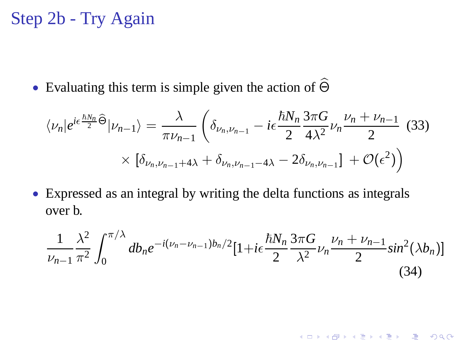# Step 2b - Try Again

• Evaluating this term is simple given the action of  $\widehat{\Theta}$ 

$$
\langle \nu_n | e^{i\epsilon \frac{\hbar N_n}{2} \widehat{\Theta}} | \nu_{n-1} \rangle = \frac{\lambda}{\pi \nu_{n-1}} \left( \delta_{\nu_n, \nu_{n-1}} - i\epsilon \frac{\hbar N_n}{2} \frac{3\pi G}{4\lambda^2} \nu_n \frac{\nu_n + \nu_{n-1}}{2} (33) \times \left[ \delta_{\nu_n, \nu_{n-1} + 4\lambda} + \delta_{\nu_n, \nu_{n-1} - 4\lambda} - 2\delta_{\nu_n, \nu_{n-1}} \right] + \mathcal{O}(\epsilon^2) \right)
$$

• Expressed as an integral by writing the delta functions as integrals over b.

$$
\frac{1}{\nu_{n-1}}\frac{\lambda^2}{\pi^2}\int_0^{\pi/\lambda} db_n e^{-i(\nu_n-\nu_{n-1})b_n/2} [1+i\epsilon \frac{\hbar N_n}{2}\frac{3\pi G}{\lambda^2}\nu_n \frac{\nu_n+\nu_{n-1}}{2}sin^2(\lambda b_n)]
$$
\n(34)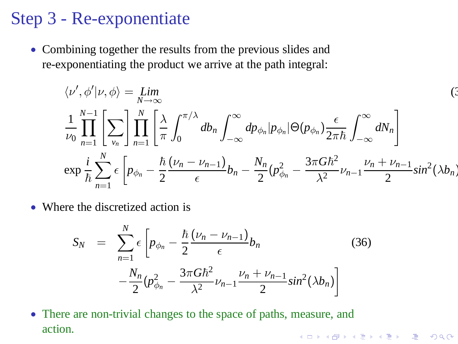### Step 3 - Re-exponentiate

• Combining together the results from the previous slides and re-exponentiating the product we arrive at the path integral:

$$
\langle v', \phi' | v, \phi \rangle = \lim_{N \to \infty} \tag{3}
$$
  

$$
\frac{1}{\nu_0} \prod_{n=1}^{N-1} \left[ \sum_{v_n} \right] \prod_{n=1}^{N} \left[ \frac{\lambda}{\pi} \int_0^{\pi/\lambda} db_n \int_{-\infty}^{\infty} dp_{\phi_n} |p_{\phi_n}| \Theta(p_{\phi_n}) \frac{\epsilon}{2\pi\hbar} \int_{-\infty}^{\infty} dN_n \right]
$$
  

$$
\exp \frac{i}{\hbar} \sum_{n=1}^{N} \epsilon \left[ p_{\phi_n} - \frac{\hbar}{2} \frac{(\nu_n - \nu_{n-1})}{\epsilon} b_n - \frac{N_n}{2} (p_{\phi_n}^2 - \frac{3\pi G \hbar^2}{\lambda^2} \nu_{n-1} \frac{\nu_n + \nu_{n-1}}{2} \sin^2(\lambda b_n) \right]
$$

• Where the discretized action is

$$
S_N = \sum_{n=1}^{N} \epsilon \left[ p_{\phi_n} - \frac{\hbar}{2} \frac{(\nu_n - \nu_{n-1})}{\epsilon} b_n - \frac{N_n}{2} (\rho_{\phi_n}^2 - \frac{3\pi G \hbar^2}{\lambda^2} \nu_{n-1} \frac{\nu_n + \nu_{n-1}}{2} \sin^2(\lambda b_n) \right]
$$
(36)

• There are non-trivial changes to the space of paths, measure, and action.K ロ ▶ K @ ▶ K 할 > K 할 > 1 할 | X 9 Q Q\*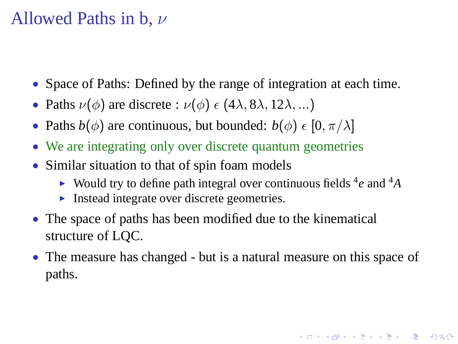#### Allowed Paths in b,  $\nu$

- Space of Paths: Defined by the range of integration at each time.
- Paths  $\nu(\phi)$  are discrete :  $\nu(\phi) \in (4\lambda, 8\lambda, 12\lambda, ...)$
- Paths  $b(\phi)$  are continuous, but bounded:  $b(\phi) \in [0, \pi/\lambda]$
- We are integrating only over discrete quantum geometries
- Similar situation to that of spin foam models
	- ► Would try to define path integral over continuous fields <sup>4</sup>e and <sup>4</sup>A
	- ► Instead integrate over discrete geometries.
- The space of paths has been modified due to the kinematical structure of LQC.
- The measure has changed but is a natural measure on this space of paths.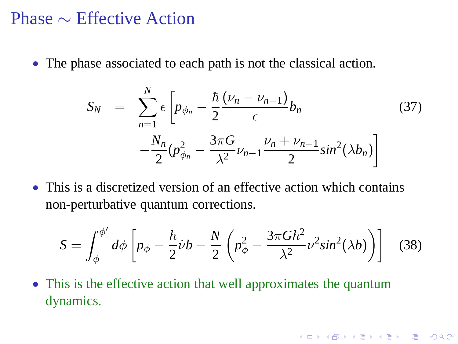#### Phase ∼ Effective Action

• The phase associated to each path is not the classical action.

$$
S_N = \sum_{n=1}^{N} \epsilon \left[ p_{\phi_n} - \frac{\hbar}{2} \frac{(\nu_n - \nu_{n-1})}{\epsilon} b_n - \frac{N_n}{2} (p_{\phi_n}^2 - \frac{3\pi G}{\lambda^2} \nu_{n-1} \frac{\nu_n + \nu_{n-1}}{2} \sin^2(\lambda b_n) \right]
$$
(37)

• This is a discretized version of an effective action which contains non-perturbative quantum corrections.

$$
S = \int_{\phi}^{\phi'} d\phi \left[ p_{\phi} - \frac{\hbar}{2} \dot{\nu} b - \frac{N}{2} \left( p_{\phi}^2 - \frac{3\pi G \hbar^2}{\lambda^2} \nu^2 \sin^2(\lambda b) \right) \right]
$$
(38)

**K ロ K K (日 K K B K K E K H X K K K K G K C K** 

• This is the effective action that well approximates the quantum dynamics.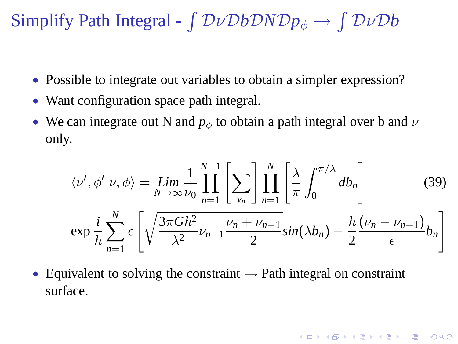Simplify Path Integral -  $\int D\nu DbDNDp_{\phi} \rightarrow \int D\nu Db$ 

- Possible to integrate out variables to obtain a simpler expression?
- Want configuration space path integral.
- We can integrate out N and  $p_{\phi}$  to obtain a path integral over b and  $\nu$ only.

$$
\langle \nu', \phi' | \nu, \phi \rangle = \lim_{N \to \infty} \frac{1}{\nu_0} \prod_{n=1}^{N-1} \left[ \sum_{\nu_n} \right] \prod_{n=1}^N \left[ \frac{\lambda}{\pi} \int_0^{\pi/\lambda} d b_n \right]
$$
(39)  

$$
\exp \frac{i}{\hbar} \sum_{n=1}^N \epsilon \left[ \sqrt{\frac{3\pi G \hbar^2}{\lambda^2} \nu_{n-1} \frac{\nu_n + \nu_{n-1}}{2} \sin(\lambda b_n) - \frac{\hbar}{2} \frac{(\nu_n - \nu_{n-1})}{\epsilon} b_n \right]
$$

**K ロ K K 레 K K E K K E X H X K K K K H Z W X C K** 

<span id="page-22-0"></span>• Equivalent to solving the constraint  $\rightarrow$  Path integral on constraint surface.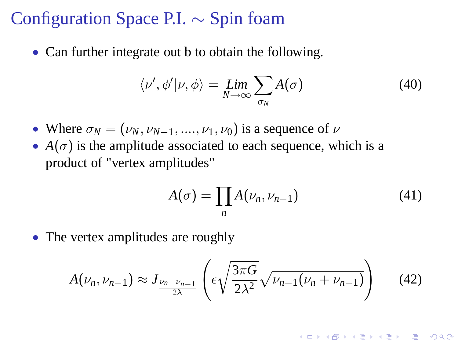#### Configuration Space P.I. ∼ Spin foam

• Can further integrate out b to obtain the following.

$$
\langle \nu', \phi' | \nu, \phi \rangle = \lim_{N \to \infty} \sum_{\sigma_N} A(\sigma) \tag{40}
$$

- Where  $\sigma_N = (\nu_N, \nu_{N-1}, \ldots, \nu_1, \nu_0)$  is a sequence of  $\nu$
- $A(\sigma)$  is the amplitude associated to each sequence, which is a product of "vertex amplitudes"

$$
A(\sigma) = \prod_{n} A(\nu_n, \nu_{n-1})
$$
\n(41)

• The vertex amplitudes are roughly

$$
A(\nu_n, \nu_{n-1}) \approx J_{\frac{\nu_n - \nu_{n-1}}{2\lambda}} \left( \epsilon \sqrt{\frac{3\pi G}{2\lambda^2}} \sqrt{\nu_{n-1}(\nu_n + \nu_{n-1})} \right) \tag{42}
$$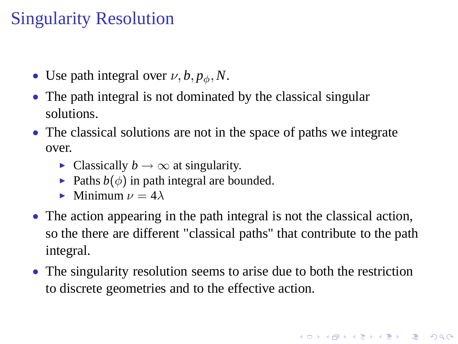# Singularity Resolution

- Use path integral over  $\nu$ ,  $b$ ,  $p_{\phi}$ , N.
- The path integral is not dominated by the classical singular solutions.
- The classical solutions are not in the space of paths we integrate over.
	- Classically  $b \to \infty$  at singularity.
	- $\blacktriangleright$  Paths  $b(\phi)$  in path integral are bounded.
	- Minimum  $\nu = 4\lambda$
- The action appearing in the path integral is not the classical action, so the there are different "classical paths" that contribute to the path integral.
- <span id="page-24-0"></span>• The singularity resolution seems to arise due to both the restriction to discrete geometries and to the effective action.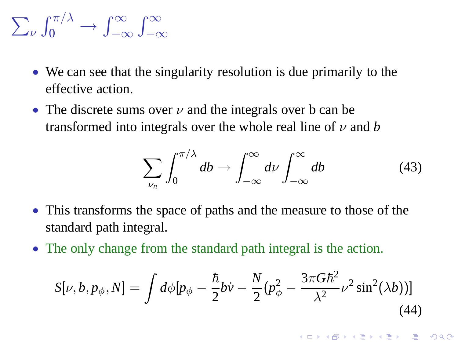$$
\sum_{\nu} \int_0^{\pi/\lambda} \to \int_{-\infty}^{\infty} \int_{-\infty}^{\infty}
$$

- We can see that the singularity resolution is due primarily to the effective action.
- The discrete sums over  $\nu$  and the integrals over b can be transformed into integrals over the whole real line of  $\nu$  and  $b$

$$
\sum_{\nu_n} \int_0^{\pi/\lambda} db \to \int_{-\infty}^{\infty} d\nu \int_{-\infty}^{\infty} db \tag{43}
$$

- This transforms the space of paths and the measure to those of the standard path integral.
- The only change from the standard path integral is the action.

$$
S[\nu, b, p_{\phi}, N] = \int d\phi [p_{\phi} - \frac{\hbar}{2} b\dot{\nu} - \frac{N}{2} (p_{\phi}^2 - \frac{3\pi G \hbar^2}{\lambda^2} \nu^2 \sin^2(\lambda b))]
$$
(44)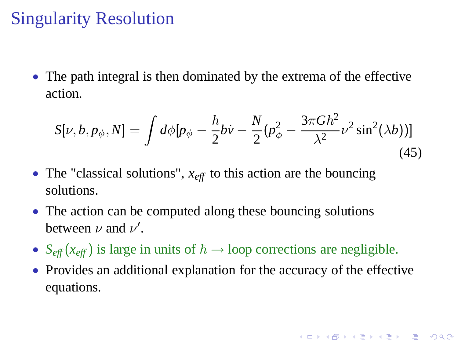# Singularity Resolution

• The path integral is then dominated by the extrema of the effective action.

$$
S[\nu, b, p_{\phi}, N] = \int d\phi [p_{\phi} - \frac{\hbar}{2} b\dot{\nu} - \frac{N}{2} (p_{\phi}^2 - \frac{3\pi G \hbar^2}{\lambda^2} \nu^2 \sin^2(\lambda b))]
$$
(45)

- The "classical solutions",  $x_{\text{eff}}$  to this action are the bouncing solutions.
- The action can be computed along these bouncing solutions between  $\nu$  and  $\nu'$ .
- $S_{\text{eff}}(x_{\text{eff}})$  is large in units of  $\hbar \rightarrow$  loop corrections are negligible.
- Provides an additional explanation for the accuracy of the effective equations.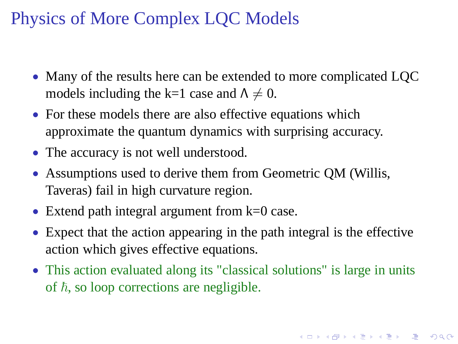# Physics of More Complex LQC Models

- Many of the results here can be extended to more complicated LOC models including the k=1 case and  $\Lambda \neq 0$ .
- For these models there are also effective equations which approximate the quantum dynamics with surprising accuracy.
- The accuracy is not well understood.
- Assumptions used to derive them from Geometric QM (Willis, Taveras) fail in high curvature region.
- Extend path integral argument from  $k=0$  case.
- Expect that the action appearing in the path integral is the effective action which gives effective equations.
- This action evaluated along its "classical solutions" is large in units of  $h$ , so loop corrections are negligible.